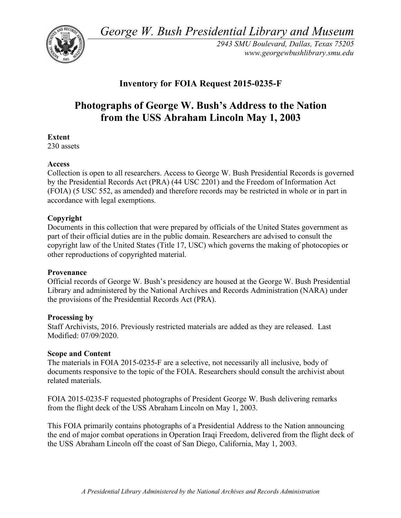*George W. Bush Presidential Library and Museum* 



*2943 SMU Boulevard, Dallas, Texas 75205 <www.georgewbushlibrary.smu.edu>* 

# **Inventory for FOIA Request 2015-0235-F**

# **Photographs of George W. Bush's Address to the Nation from the USS Abraham Lincoln May 1, 2003**

## **Extent**

230 assets

### **Access**

 Collection is open to all researchers. Access to George W. Bush Presidential Records is governed by the Presidential Records Act (PRA) (44 USC 2201) and the Freedom of Information Act (FOIA) (5 USC 552, as amended) and therefore records may be restricted in whole or in part in accordance with legal exemptions.

#### **Copyright**

 Documents in this collection that were prepared by officials of the United States government as part of their official duties are in the public domain. Researchers are advised to consult the copyright law of the United States (Title 17, USC) which governs the making of photocopies or other reproductions of copyrighted material.

#### **Provenance**

 Official records of George W. Bush's presidency are housed at the George W. Bush Presidential Library and administered by the National Archives and Records Administration (NARA) under the provisions of the Presidential Records Act (PRA).

#### **Processing by**

 Staff Archivists, 2016. Previously restricted materials are added as they are released. Last Modified: 07/09/2020.

#### **Scope and Content**

 The materials in FOIA 2015-0235-F are a selective, not necessarily all inclusive, body of documents responsive to the topic of the FOIA. Researchers should consult the archivist about related materials.

 FOIA 2015-0235-F requested photographs of President George W. Bush delivering remarks from the flight deck of the USS Abraham Lincoln on May 1, 2003.

 This FOIA primarily contains photographs of a Presidential Address to the Nation announcing the end of major combat operations in Operation Iraqi Freedom, delivered from the flight deck of the USS Abraham Lincoln off the coast of San Diego, California, May 1, 2003.